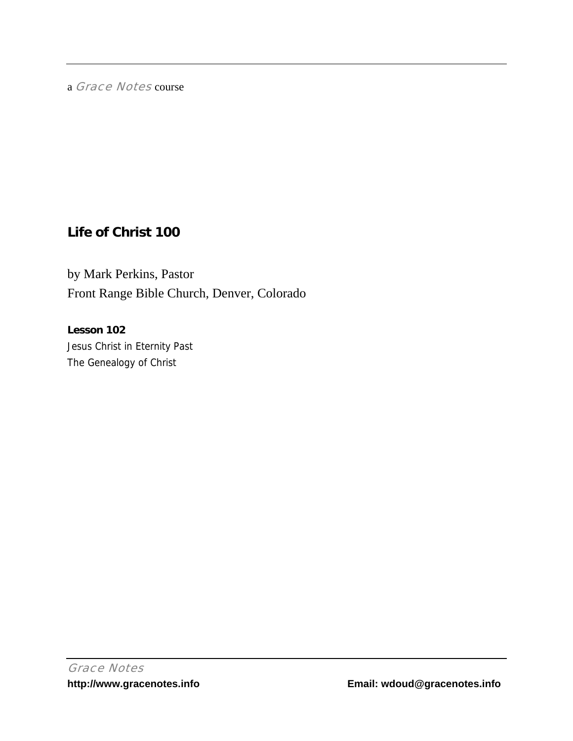a Grace Notes course

# **Life of Christ 100**

by Mark Perkins, Pastor Front Range Bible Church, Denver, Colorado

**Lesson 102**  Jesus Christ in Eternity Past The Genealogy of Christ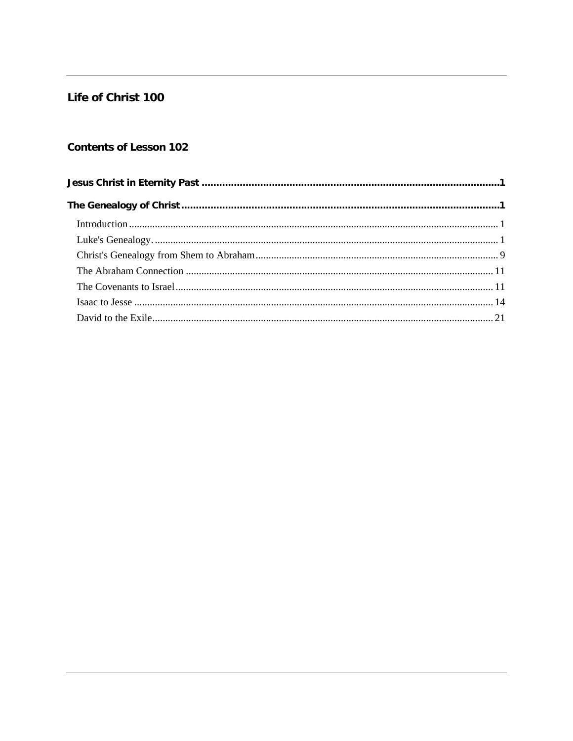# Life of Christ 100

# **Contents of Lesson 102**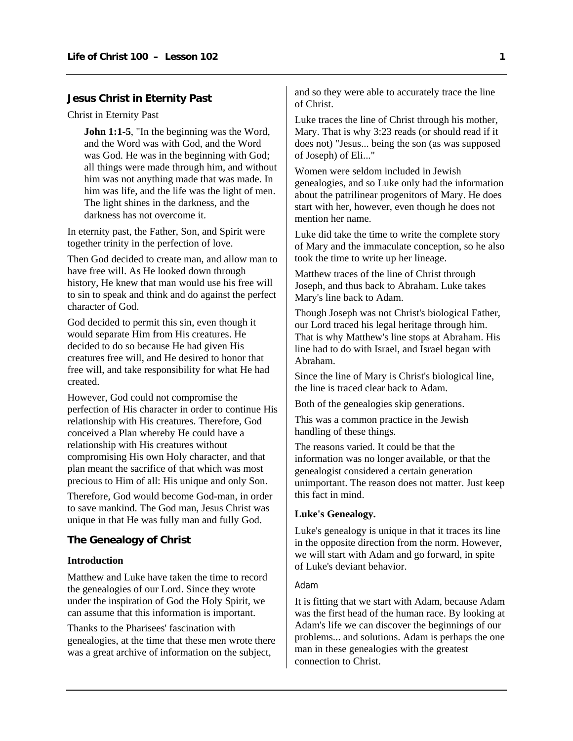# <span id="page-2-0"></span>**Jesus Christ in Eternity Past**

Christ in Eternity Past

**John 1:1-5**, "In the beginning was the Word, and the Word was with God, and the Word was God. He was in the beginning with God; all things were made through him, and without him was not anything made that was made. In him was life, and the life was the light of men. The light shines in the darkness, and the darkness has not overcome it.

In eternity past, the Father, Son, and Spirit were together trinity in the perfection of love.

Then God decided to create man, and allow man to have free will. As He looked down through history, He knew that man would use his free will to sin to speak and think and do against the perfect character of God.

God decided to permit this sin, even though it would separate Him from His creatures. He decided to do so because He had given His creatures free will, and He desired to honor that free will, and take responsibility for what He had created.

However, God could not compromise the perfection of His character in order to continue His relationship with His creatures. Therefore, God conceived a Plan whereby He could have a relationship with His creatures without compromising His own Holy character, and that plan meant the sacrifice of that which was most precious to Him of all: His unique and only Son.

Therefore, God would become God-man, in order to save mankind. The God man, Jesus Christ was unique in that He was fully man and fully God.

# **The Genealogy of Christ**

#### **Introduction**

Matthew and Luke have taken the time to record the genealogies of our Lord. Since they wrote under the inspiration of God the Holy Spirit, we can assume that this information is important.

Thanks to the Pharisees' fascination with genealogies, at the time that these men wrote there was a great archive of information on the subject,

and so they were able to accurately trace the line of Christ.

Luke traces the line of Christ through his mother, Mary. That is why 3:23 reads (or should read if it does not) "Jesus... being the son (as was supposed of Joseph) of Eli..."

Women were seldom included in Jewish genealogies, and so Luke only had the information about the patrilinear progenitors of Mary. He does start with her, however, even though he does not mention her name.

Luke did take the time to write the complete story of Mary and the immaculate conception, so he also took the time to write up her lineage.

Matthew traces of the line of Christ through Joseph, and thus back to Abraham. Luke takes Mary's line back to Adam.

Though Joseph was not Christ's biological Father, our Lord traced his legal heritage through him. That is why Matthew's line stops at Abraham. His line had to do with Israel, and Israel began with Abraham.

Since the line of Mary is Christ's biological line, the line is traced clear back to Adam.

Both of the genealogies skip generations.

This was a common practice in the Jewish handling of these things.

The reasons varied. It could be that the information was no longer available, or that the genealogist considered a certain generation unimportant. The reason does not matter. Just keep this fact in mind.

## **Luke's Genealogy.**

Luke's genealogy is unique in that it traces its line in the opposite direction from the norm. However, we will start with Adam and go forward, in spite of Luke's deviant behavior.

## Adam

It is fitting that we start with Adam, because Adam was the first head of the human race. By looking at Adam's life we can discover the beginnings of our problems... and solutions. Adam is perhaps the one man in these genealogies with the greatest connection to Christ.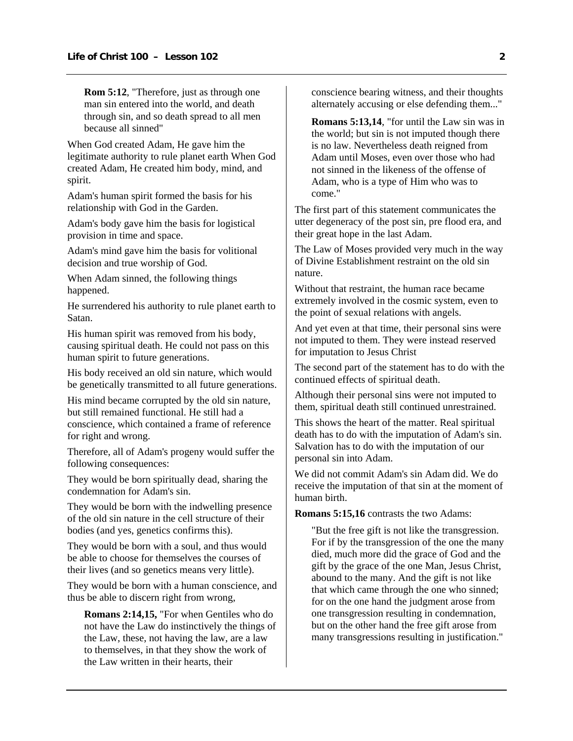**Rom 5:12**, "Therefore, just as through one man sin entered into the world, and death through sin, and so death spread to all men because all sinned"

When God created Adam, He gave him the legitimate authority to rule planet earth When God created Adam, He created him body, mind, and spirit.

Adam's human spirit formed the basis for his relationship with God in the Garden.

Adam's body gave him the basis for logistical provision in time and space.

Adam's mind gave him the basis for volitional decision and true worship of God.

When Adam sinned, the following things happened.

He surrendered his authority to rule planet earth to Satan.

His human spirit was removed from his body, causing spiritual death. He could not pass on this human spirit to future generations.

His body received an old sin nature, which would be genetically transmitted to all future generations.

His mind became corrupted by the old sin nature, but still remained functional. He still had a conscience, which contained a frame of reference for right and wrong.

Therefore, all of Adam's progeny would suffer the following consequences:

They would be born spiritually dead, sharing the condemnation for Adam's sin.

They would be born with the indwelling presence of the old sin nature in the cell structure of their bodies (and yes, genetics confirms this).

They would be born with a soul, and thus would be able to choose for themselves the courses of their lives (and so genetics means very little).

They would be born with a human conscience, and thus be able to discern right from wrong,

**Romans 2:14,15,** "For when Gentiles who do not have the Law do instinctively the things of the Law, these, not having the law, are a law to themselves, in that they show the work of the Law written in their hearts, their

conscience bearing witness, and their thoughts alternately accusing or else defending them..."

**Romans 5:13,14**, "for until the Law sin was in the world; but sin is not imputed though there is no law. Nevertheless death reigned from Adam until Moses, even over those who had not sinned in the likeness of the offense of Adam, who is a type of Him who was to come."

The first part of this statement communicates the utter degeneracy of the post sin, pre flood era, and their great hope in the last Adam.

The Law of Moses provided very much in the way of Divine Establishment restraint on the old sin nature.

Without that restraint, the human race became extremely involved in the cosmic system, even to the point of sexual relations with angels.

And yet even at that time, their personal sins were not imputed to them. They were instead reserved for imputation to Jesus Christ

The second part of the statement has to do with the continued effects of spiritual death.

Although their personal sins were not imputed to them, spiritual death still continued unrestrained.

This shows the heart of the matter. Real spiritual death has to do with the imputation of Adam's sin. Salvation has to do with the imputation of our personal sin into Adam.

We did not commit Adam's sin Adam did. We do receive the imputation of that sin at the moment of human birth.

**Romans 5:15,16** contrasts the two Adams:

"But the free gift is not like the transgression. For if by the transgression of the one the many died, much more did the grace of God and the gift by the grace of the one Man, Jesus Christ, abound to the many. And the gift is not like that which came through the one who sinned; for on the one hand the judgment arose from one transgression resulting in condemnation, but on the other hand the free gift arose from many transgressions resulting in justification."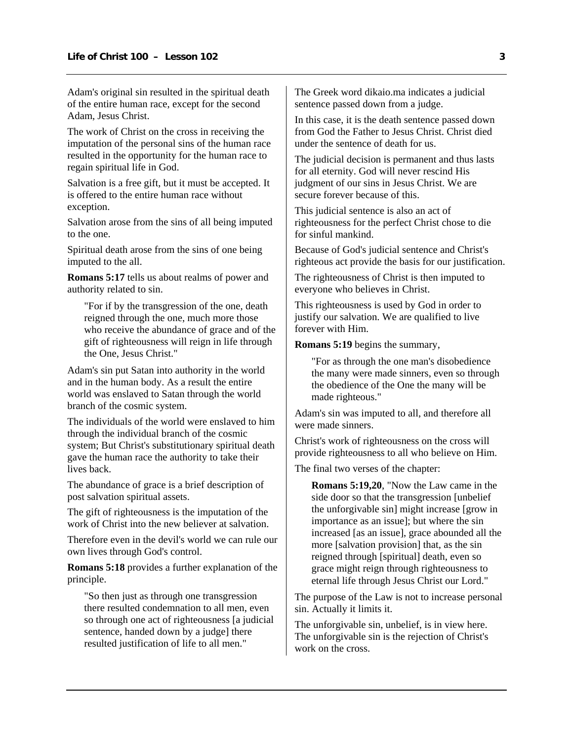Adam's original sin resulted in the spiritual death of the entire human race, except for the second Adam, Jesus Christ.

The work of Christ on the cross in receiving the imputation of the personal sins of the human race resulted in the opportunity for the human race to regain spiritual life in God.

Salvation is a free gift, but it must be accepted. It is offered to the entire human race without exception.

Salvation arose from the sins of all being imputed to the one.

Spiritual death arose from the sins of one being imputed to the all.

**Romans 5:17** tells us about realms of power and authority related to sin.

"For if by the transgression of the one, death reigned through the one, much more those who receive the abundance of grace and of the gift of righteousness will reign in life through the One, Jesus Christ."

Adam's sin put Satan into authority in the world and in the human body. As a result the entire world was enslaved to Satan through the world branch of the cosmic system.

The individuals of the world were enslaved to him through the individual branch of the cosmic system; But Christ's substitutionary spiritual death gave the human race the authority to take their lives back.

The abundance of grace is a brief description of post salvation spiritual assets.

The gift of righteousness is the imputation of the work of Christ into the new believer at salvation.

Therefore even in the devil's world we can rule our own lives through God's control.

**Romans 5:18** provides a further explanation of the principle.

"So then just as through one transgression there resulted condemnation to all men, even so through one act of righteousness [a judicial sentence, handed down by a judge] there resulted justification of life to all men."

The Greek word dikaio.ma indicates a judicial sentence passed down from a judge.

In this case, it is the death sentence passed down from God the Father to Jesus Christ. Christ died under the sentence of death for us.

The judicial decision is permanent and thus lasts for all eternity. God will never rescind His judgment of our sins in Jesus Christ. We are secure forever because of this.

This judicial sentence is also an act of righteousness for the perfect Christ chose to die for sinful mankind.

Because of God's judicial sentence and Christ's righteous act provide the basis for our justification.

The righteousness of Christ is then imputed to everyone who believes in Christ.

This righteousness is used by God in order to justify our salvation. We are qualified to live forever with Him.

**Romans 5:19** begins the summary,

"For as through the one man's disobedience the many were made sinners, even so through the obedience of the One the many will be made righteous."

Adam's sin was imputed to all, and therefore all were made sinners.

Christ's work of righteousness on the cross will provide righteousness to all who believe on Him.

The final two verses of the chapter:

**Romans 5:19,20**, "Now the Law came in the side door so that the transgression [unbelief the unforgivable sin] might increase [grow in importance as an issue]; but where the sin increased [as an issue], grace abounded all the more [salvation provision] that, as the sin reigned through [spiritual] death, even so grace might reign through righteousness to eternal life through Jesus Christ our Lord."

The purpose of the Law is not to increase personal sin. Actually it limits it.

The unforgivable sin, unbelief, is in view here. The unforgivable sin is the rejection of Christ's work on the cross.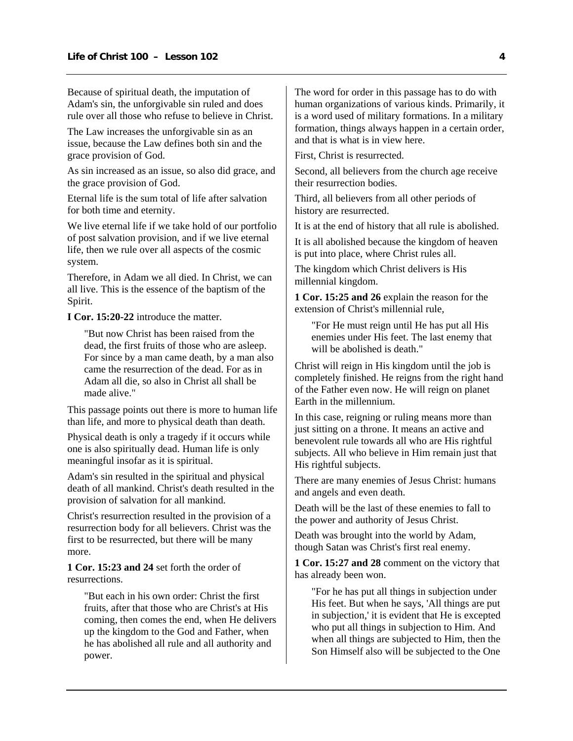Because of spiritual death, the imputation of Adam's sin, the unforgivable sin ruled and does rule over all those who refuse to believe in Christ.

The Law increases the unforgivable sin as an issue, because the Law defines both sin and the grace provision of God.

As sin increased as an issue, so also did grace, and the grace provision of God.

Eternal life is the sum total of life after salvation for both time and eternity.

We live eternal life if we take hold of our portfolio of post salvation provision, and if we live eternal life, then we rule over all aspects of the cosmic system.

Therefore, in Adam we all died. In Christ, we can all live. This is the essence of the baptism of the Spirit.

**I Cor. 15:20-22** introduce the matter.

"But now Christ has been raised from the dead, the first fruits of those who are asleep. For since by a man came death, by a man also came the resurrection of the dead. For as in Adam all die, so also in Christ all shall be made alive."

This passage points out there is more to human life than life, and more to physical death than death.

Physical death is only a tragedy if it occurs while one is also spiritually dead. Human life is only meaningful insofar as it is spiritual.

Adam's sin resulted in the spiritual and physical death of all mankind. Christ's death resulted in the provision of salvation for all mankind.

Christ's resurrection resulted in the provision of a resurrection body for all believers. Christ was the first to be resurrected, but there will be many more.

**1 Cor. 15:23 and 24** set forth the order of resurrections.

"But each in his own order: Christ the first fruits, after that those who are Christ's at His coming, then comes the end, when He delivers up the kingdom to the God and Father, when he has abolished all rule and all authority and power.

The word for order in this passage has to do with human organizations of various kinds. Primarily, it is a word used of military formations. In a military formation, things always happen in a certain order, and that is what is in view here.

First, Christ is resurrected.

Second, all believers from the church age receive their resurrection bodies.

Third, all believers from all other periods of history are resurrected.

It is at the end of history that all rule is abolished.

It is all abolished because the kingdom of heaven is put into place, where Christ rules all.

The kingdom which Christ delivers is His millennial kingdom.

**1 Cor. 15:25 and 26** explain the reason for the extension of Christ's millennial rule,

"For He must reign until He has put all His enemies under His feet. The last enemy that will be abolished is death."

Christ will reign in His kingdom until the job is completely finished. He reigns from the right hand of the Father even now. He will reign on planet Earth in the millennium.

In this case, reigning or ruling means more than just sitting on a throne. It means an active and benevolent rule towards all who are His rightful subjects. All who believe in Him remain just that His rightful subjects.

There are many enemies of Jesus Christ: humans and angels and even death.

Death will be the last of these enemies to fall to the power and authority of Jesus Christ.

Death was brought into the world by Adam, though Satan was Christ's first real enemy.

**1 Cor. 15:27 and 28** comment on the victory that has already been won.

"For he has put all things in subjection under His feet. But when he says, 'All things are put in subjection,' it is evident that He is excepted who put all things in subjection to Him. And when all things are subjected to Him, then the Son Himself also will be subjected to the One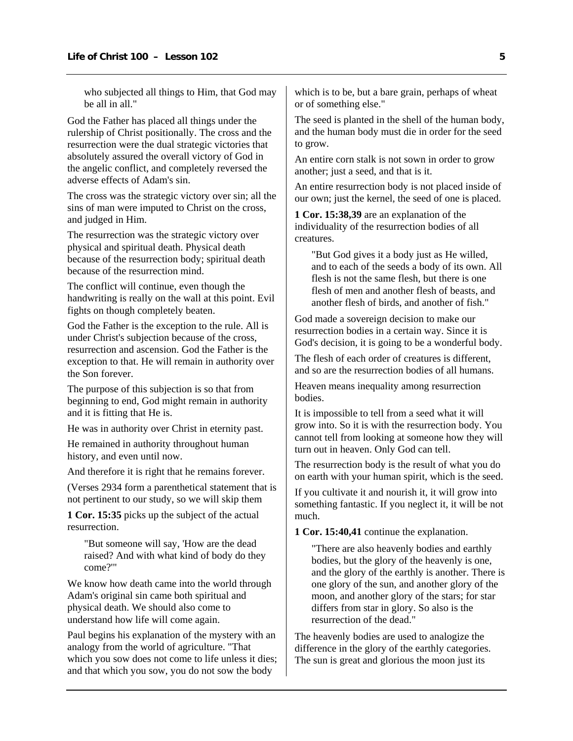who subjected all things to Him, that God may be all in all."

God the Father has placed all things under the rulership of Christ positionally. The cross and the resurrection were the dual strategic victories that absolutely assured the overall victory of God in the angelic conflict, and completely reversed the adverse effects of Adam's sin.

The cross was the strategic victory over sin; all the sins of man were imputed to Christ on the cross, and judged in Him.

The resurrection was the strategic victory over physical and spiritual death. Physical death because of the resurrection body; spiritual death because of the resurrection mind.

The conflict will continue, even though the handwriting is really on the wall at this point. Evil fights on though completely beaten.

God the Father is the exception to the rule. All is under Christ's subjection because of the cross, resurrection and ascension. God the Father is the exception to that. He will remain in authority over the Son forever.

The purpose of this subjection is so that from beginning to end, God might remain in authority and it is fitting that He is.

He was in authority over Christ in eternity past.

He remained in authority throughout human history, and even until now.

And therefore it is right that he remains forever.

(Verses 2934 form a parenthetical statement that is not pertinent to our study, so we will skip them

**1 Cor. 15:35** picks up the subject of the actual resurrection.

"But someone will say, 'How are the dead raised? And with what kind of body do they come?'"

We know how death came into the world through Adam's original sin came both spiritual and physical death. We should also come to understand how life will come again.

Paul begins his explanation of the mystery with an analogy from the world of agriculture. "That which you sow does not come to life unless it dies; and that which you sow, you do not sow the body

which is to be, but a bare grain, perhaps of wheat or of something else."

The seed is planted in the shell of the human body, and the human body must die in order for the seed to grow.

An entire corn stalk is not sown in order to grow another; just a seed, and that is it.

An entire resurrection body is not placed inside of our own; just the kernel, the seed of one is placed.

**1 Cor. 15:38,39** are an explanation of the individuality of the resurrection bodies of all creatures.

"But God gives it a body just as He willed, and to each of the seeds a body of its own. All flesh is not the same flesh, but there is one flesh of men and another flesh of beasts, and another flesh of birds, and another of fish."

God made a sovereign decision to make our resurrection bodies in a certain way. Since it is God's decision, it is going to be a wonderful body.

The flesh of each order of creatures is different, and so are the resurrection bodies of all humans.

Heaven means inequality among resurrection bodies.

It is impossible to tell from a seed what it will grow into. So it is with the resurrection body. You cannot tell from looking at someone how they will turn out in heaven. Only God can tell.

The resurrection body is the result of what you do on earth with your human spirit, which is the seed.

If you cultivate it and nourish it, it will grow into something fantastic. If you neglect it, it will be not much.

**1 Cor. 15:40,41** continue the explanation.

"There are also heavenly bodies and earthly bodies, but the glory of the heavenly is one, and the glory of the earthly is another. There is one glory of the sun, and another glory of the moon, and another glory of the stars; for star differs from star in glory. So also is the resurrection of the dead."

The heavenly bodies are used to analogize the difference in the glory of the earthly categories. The sun is great and glorious the moon just its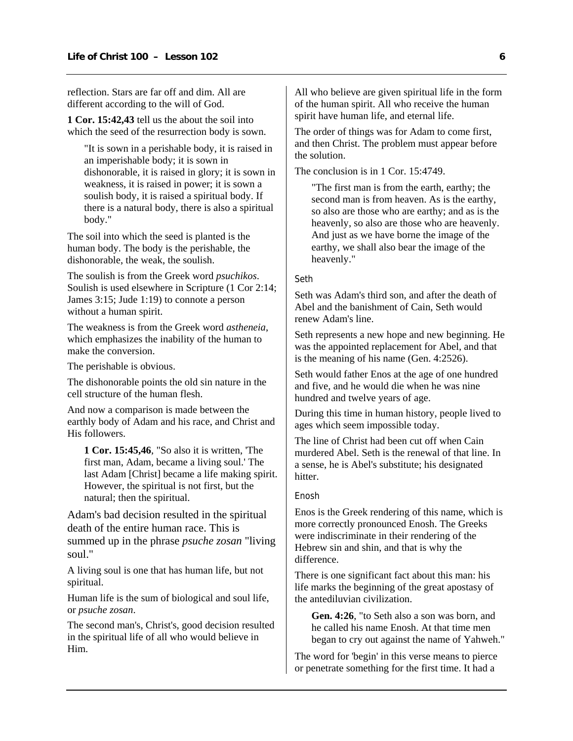reflection. Stars are far off and dim. All are different according to the will of God.

**1 Cor. 15:42,43** tell us the about the soil into which the seed of the resurrection body is sown.

"It is sown in a perishable body, it is raised in an imperishable body; it is sown in dishonorable, it is raised in glory; it is sown in weakness, it is raised in power; it is sown a soulish body, it is raised a spiritual body. If there is a natural body, there is also a spiritual body."

The soil into which the seed is planted is the human body. The body is the perishable, the dishonorable, the weak, the soulish.

The soulish is from the Greek word *psuchikos*. Soulish is used elsewhere in Scripture (1 Cor 2:14; James 3:15; Jude 1:19) to connote a person without a human spirit.

The weakness is from the Greek word *astheneia*, which emphasizes the inability of the human to make the conversion.

The perishable is obvious.

The dishonorable points the old sin nature in the cell structure of the human flesh.

And now a comparison is made between the earthly body of Adam and his race, and Christ and His followers.

**1 Cor. 15:45,46**, "So also it is written, 'The first man, Adam, became a living soul.' The last Adam [Christ] became a life making spirit. However, the spiritual is not first, but the natural; then the spiritual.

Adam's bad decision resulted in the spiritual death of the entire human race. This is summed up in the phrase *psuche zosan* "living soul."

A living soul is one that has human life, but not spiritual.

Human life is the sum of biological and soul life, or *psuche zosan*.

The second man's, Christ's, good decision resulted in the spiritual life of all who would believe in Him.

All who believe are given spiritual life in the form of the human spirit. All who receive the human spirit have human life, and eternal life.

The order of things was for Adam to come first, and then Christ. The problem must appear before the solution.

The conclusion is in 1 Cor. 15:4749.

"The first man is from the earth, earthy; the second man is from heaven. As is the earthy, so also are those who are earthy; and as is the heavenly, so also are those who are heavenly. And just as we have borne the image of the earthy, we shall also bear the image of the heavenly."

#### Seth

Seth was Adam's third son, and after the death of Abel and the banishment of Cain, Seth would renew Adam's line.

Seth represents a new hope and new beginning. He was the appointed replacement for Abel, and that is the meaning of his name (Gen. 4:2526).

Seth would father Enos at the age of one hundred and five, and he would die when he was nine hundred and twelve years of age.

During this time in human history, people lived to ages which seem impossible today.

The line of Christ had been cut off when Cain murdered Abel. Seth is the renewal of that line. In a sense, he is Abel's substitute; his designated hitter.

#### Enosh

Enos is the Greek rendering of this name, which is more correctly pronounced Enosh. The Greeks were indiscriminate in their rendering of the Hebrew sin and shin, and that is why the difference.

There is one significant fact about this man: his life marks the beginning of the great apostasy of the antediluvian civilization.

**Gen. 4:26**, "to Seth also a son was born, and he called his name Enosh. At that time men began to cry out against the name of Yahweh."

The word for 'begin' in this verse means to pierce or penetrate something for the first time. It had a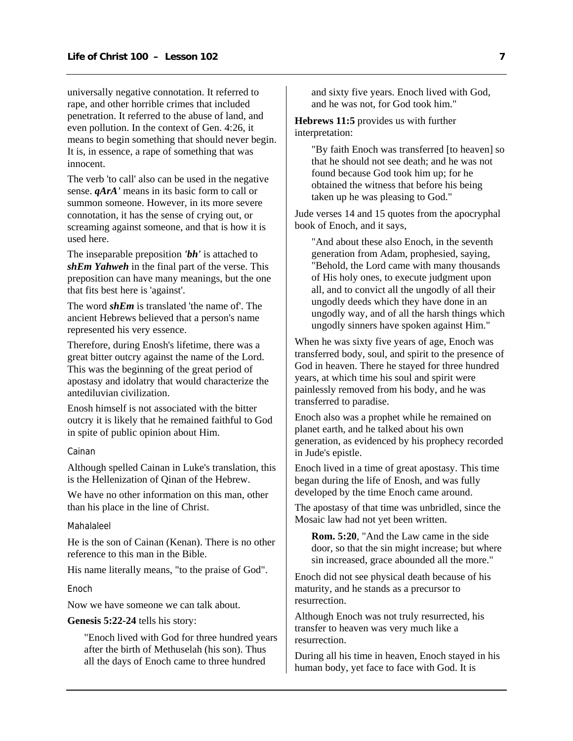universally negative connotation. It referred to rape, and other horrible crimes that included penetration. It referred to the abuse of land, and even pollution. In the context of Gen. 4:26, it means to begin something that should never begin. It is, in essence, a rape of something that was innocent.

The verb 'to call' also can be used in the negative sense. *qArA'* means in its basic form to call or summon someone. However, in its more severe connotation, it has the sense of crying out, or screaming against someone, and that is how it is used here.

The inseparable preposition *'bh'* is attached to *shEm Yahweh* in the final part of the verse. This preposition can have many meanings, but the one that fits best here is 'against'.

The word *shEm* is translated 'the name of'. The ancient Hebrews believed that a person's name represented his very essence.

Therefore, during Enosh's lifetime, there was a great bitter outcry against the name of the Lord. This was the beginning of the great period of apostasy and idolatry that would characterize the antediluvian civilization.

Enosh himself is not associated with the bitter outcry it is likely that he remained faithful to God in spite of public opinion about Him.

#### Cainan

Although spelled Cainan in Luke's translation, this is the Hellenization of Qinan of the Hebrew.

We have no other information on this man, other than his place in the line of Christ.

#### Mahalaleel

He is the son of Cainan (Kenan). There is no other reference to this man in the Bible.

His name literally means, "to the praise of God".

#### Enoch

Now we have someone we can talk about.

## **Genesis 5:22-24** tells his story:

"Enoch lived with God for three hundred years after the birth of Methuselah (his son). Thus all the days of Enoch came to three hundred

and sixty five years. Enoch lived with God, and he was not, for God took him."

**Hebrews 11:5** provides us with further interpretation:

> "By faith Enoch was transferred [to heaven] so that he should not see death; and he was not found because God took him up; for he obtained the witness that before his being taken up he was pleasing to God."

Jude verses 14 and 15 quotes from the apocryphal book of Enoch, and it says,

"And about these also Enoch, in the seventh generation from Adam, prophesied, saying, "Behold, the Lord came with many thousands of His holy ones, to execute judgment upon all, and to convict all the ungodly of all their ungodly deeds which they have done in an ungodly way, and of all the harsh things which ungodly sinners have spoken against Him."

When he was sixty five years of age, Enoch was transferred body, soul, and spirit to the presence of God in heaven. There he stayed for three hundred years, at which time his soul and spirit were painlessly removed from his body, and he was transferred to paradise.

Enoch also was a prophet while he remained on planet earth, and he talked about his own generation, as evidenced by his prophecy recorded in Jude's epistle.

Enoch lived in a time of great apostasy. This time began during the life of Enosh, and was fully developed by the time Enoch came around.

The apostasy of that time was unbridled, since the Mosaic law had not yet been written.

**Rom. 5:20**, "And the Law came in the side door, so that the sin might increase; but where sin increased, grace abounded all the more."

Enoch did not see physical death because of his maturity, and he stands as a precursor to resurrection.

Although Enoch was not truly resurrected, his transfer to heaven was very much like a resurrection.

During all his time in heaven, Enoch stayed in his human body, yet face to face with God. It is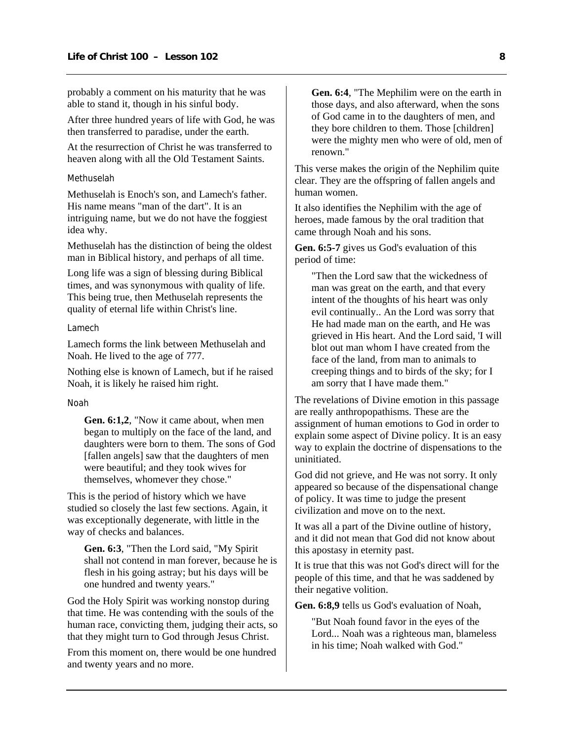probably a comment on his maturity that he was able to stand it, though in his sinful body.

After three hundred years of life with God, he was then transferred to paradise, under the earth.

At the resurrection of Christ he was transferred to heaven along with all the Old Testament Saints.

#### Methuselah

Methuselah is Enoch's son, and Lamech's father. His name means "man of the dart". It is an intriguing name, but we do not have the foggiest idea why.

Methuselah has the distinction of being the oldest man in Biblical history, and perhaps of all time.

Long life was a sign of blessing during Biblical times, and was synonymous with quality of life. This being true, then Methuselah represents the quality of eternal life within Christ's line.

#### Lamech

Lamech forms the link between Methuselah and Noah. He lived to the age of 777.

Nothing else is known of Lamech, but if he raised Noah, it is likely he raised him right.

#### Noah

**Gen. 6:1,2**, "Now it came about, when men began to multiply on the face of the land, and daughters were born to them. The sons of God [fallen angels] saw that the daughters of men were beautiful; and they took wives for themselves, whomever they chose."

This is the period of history which we have studied so closely the last few sections. Again, it was exceptionally degenerate, with little in the way of checks and balances.

**Gen. 6:3**, "Then the Lord said, "My Spirit shall not contend in man forever, because he is flesh in his going astray; but his days will be one hundred and twenty years."

God the Holy Spirit was working nonstop during that time. He was contending with the souls of the human race, convicting them, judging their acts, so that they might turn to God through Jesus Christ.

From this moment on, there would be one hundred and twenty years and no more.

**Gen. 6:4**, "The Mephilim were on the earth in those days, and also afterward, when the sons of God came in to the daughters of men, and they bore children to them. Those [children] were the mighty men who were of old, men of renown."

This verse makes the origin of the Nephilim quite clear. They are the offspring of fallen angels and human women.

It also identifies the Nephilim with the age of heroes, made famous by the oral tradition that came through Noah and his sons.

**Gen. 6:5-7** gives us God's evaluation of this period of time:

"Then the Lord saw that the wickedness of man was great on the earth, and that every intent of the thoughts of his heart was only evil continually.. An the Lord was sorry that He had made man on the earth, and He was grieved in His heart. And the Lord said, 'I will blot out man whom I have created from the face of the land, from man to animals to creeping things and to birds of the sky; for I am sorry that I have made them."

The revelations of Divine emotion in this passage are really anthropopathisms. These are the assignment of human emotions to God in order to explain some aspect of Divine policy. It is an easy way to explain the doctrine of dispensations to the uninitiated.

God did not grieve, and He was not sorry. It only appeared so because of the dispensational change of policy. It was time to judge the present civilization and move on to the next.

It was all a part of the Divine outline of history, and it did not mean that God did not know about this apostasy in eternity past.

It is true that this was not God's direct will for the people of this time, and that he was saddened by their negative volition.

**Gen. 6:8,9** tells us God's evaluation of Noah,

"But Noah found favor in the eyes of the Lord... Noah was a righteous man, blameless in his time; Noah walked with God."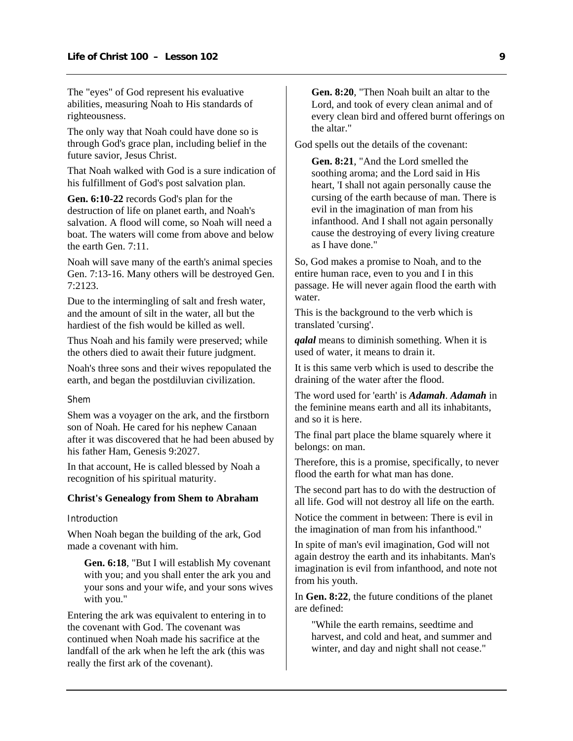<span id="page-10-0"></span>The "eyes" of God represent his evaluative abilities, measuring Noah to His standards of righteousness.

The only way that Noah could have done so is through God's grace plan, including belief in the future savior, Jesus Christ.

That Noah walked with God is a sure indication of his fulfillment of God's post salvation plan.

**Gen. 6:10-22** records God's plan for the destruction of life on planet earth, and Noah's salvation. A flood will come, so Noah will need a boat. The waters will come from above and below the earth Gen. 7:11.

Noah will save many of the earth's animal species Gen. 7:13-16. Many others will be destroyed Gen. 7:2123.

Due to the intermingling of salt and fresh water, and the amount of silt in the water, all but the hardiest of the fish would be killed as well.

Thus Noah and his family were preserved; while the others died to await their future judgment.

Noah's three sons and their wives repopulated the earth, and began the postdiluvian civilization.

Shem

Shem was a voyager on the ark, and the firstborn son of Noah. He cared for his nephew Canaan after it was discovered that he had been abused by his father Ham, Genesis 9:2027.

In that account, He is called blessed by Noah a recognition of his spiritual maturity.

#### **Christ's Genealogy from Shem to Abraham**

#### Introduction

When Noah began the building of the ark, God made a covenant with him.

**Gen. 6:18**, "But I will establish My covenant with you; and you shall enter the ark you and your sons and your wife, and your sons wives with you."

Entering the ark was equivalent to entering in to the covenant with God. The covenant was continued when Noah made his sacrifice at the landfall of the ark when he left the ark (this was really the first ark of the covenant).

**Gen. 8:20**, "Then Noah built an altar to the Lord, and took of every clean animal and of every clean bird and offered burnt offerings on the altar."

God spells out the details of the covenant:

**Gen. 8:21**, "And the Lord smelled the soothing aroma; and the Lord said in His heart, 'I shall not again personally cause the cursing of the earth because of man. There is evil in the imagination of man from his infanthood. And I shall not again personally cause the destroying of every living creature as I have done."

So, God makes a promise to Noah, and to the entire human race, even to you and I in this passage. He will never again flood the earth with water.

This is the background to the verb which is translated 'cursing'.

*qalal* means to diminish something. When it is used of water, it means to drain it.

It is this same verb which is used to describe the draining of the water after the flood.

The word used for 'earth' is *Adamah*. *Adamah* in the feminine means earth and all its inhabitants, and so it is here.

The final part place the blame squarely where it belongs: on man.

Therefore, this is a promise, specifically, to never flood the earth for what man has done.

The second part has to do with the destruction of all life. God will not destroy all life on the earth.

Notice the comment in between: There is evil in the imagination of man from his infanthood."

In spite of man's evil imagination, God will not again destroy the earth and its inhabitants. Man's imagination is evil from infanthood, and note not from his youth.

In **Gen. 8:22**, the future conditions of the planet are defined:

"While the earth remains, seedtime and harvest, and cold and heat, and summer and winter, and day and night shall not cease."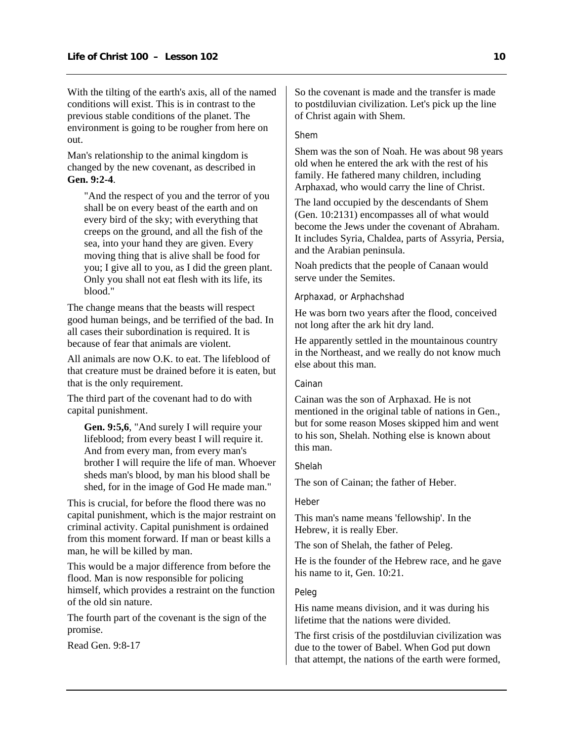With the tilting of the earth's axis, all of the named conditions will exist. This is in contrast to the previous stable conditions of the planet. The environment is going to be rougher from here on out.

Man's relationship to the animal kingdom is changed by the new covenant, as described in **Gen. 9:2-4**.

"And the respect of you and the terror of you shall be on every beast of the earth and on every bird of the sky; with everything that creeps on the ground, and all the fish of the sea, into your hand they are given. Every moving thing that is alive shall be food for you; I give all to you, as I did the green plant. Only you shall not eat flesh with its life, its blood."

The change means that the beasts will respect good human beings, and be terrified of the bad. In all cases their subordination is required. It is because of fear that animals are violent.

All animals are now O.K. to eat. The lifeblood of that creature must be drained before it is eaten, but that is the only requirement.

The third part of the covenant had to do with capital punishment.

**Gen. 9:5,6**, "And surely I will require your lifeblood; from every beast I will require it. And from every man, from every man's brother I will require the life of man. Whoever sheds man's blood, by man his blood shall be shed, for in the image of God He made man."

This is crucial, for before the flood there was no capital punishment, which is the major restraint on criminal activity. Capital punishment is ordained from this moment forward. If man or beast kills a man, he will be killed by man.

This would be a major difference from before the flood. Man is now responsible for policing himself, which provides a restraint on the function of the old sin nature.

The fourth part of the covenant is the sign of the promise.

Read Gen. 9:8-17

So the covenant is made and the transfer is made to postdiluvian civilization. Let's pick up the line of Christ again with Shem.

## Shem

Shem was the son of Noah. He was about 98 years old when he entered the ark with the rest of his family. He fathered many children, including Arphaxad, who would carry the line of Christ.

The land occupied by the descendants of Shem (Gen. 10:2131) encompasses all of what would become the Jews under the covenant of Abraham. It includes Syria, Chaldea, parts of Assyria, Persia, and the Arabian peninsula.

Noah predicts that the people of Canaan would serve under the Semites.

## Arphaxad, or Arphachshad

He was born two years after the flood, conceived not long after the ark hit dry land.

He apparently settled in the mountainous country in the Northeast, and we really do not know much else about this man.

## Cainan

Cainan was the son of Arphaxad. He is not mentioned in the original table of nations in Gen., but for some reason Moses skipped him and went to his son, Shelah. Nothing else is known about this man.

## Shelah

The son of Cainan; the father of Heber.

## Heber

This man's name means 'fellowship'. In the Hebrew, it is really Eber.

The son of Shelah, the father of Peleg.

He is the founder of the Hebrew race, and he gave his name to it, Gen. 10:21.

# Peleg

His name means division, and it was during his lifetime that the nations were divided.

The first crisis of the postdiluvian civilization was due to the tower of Babel. When God put down that attempt, the nations of the earth were formed,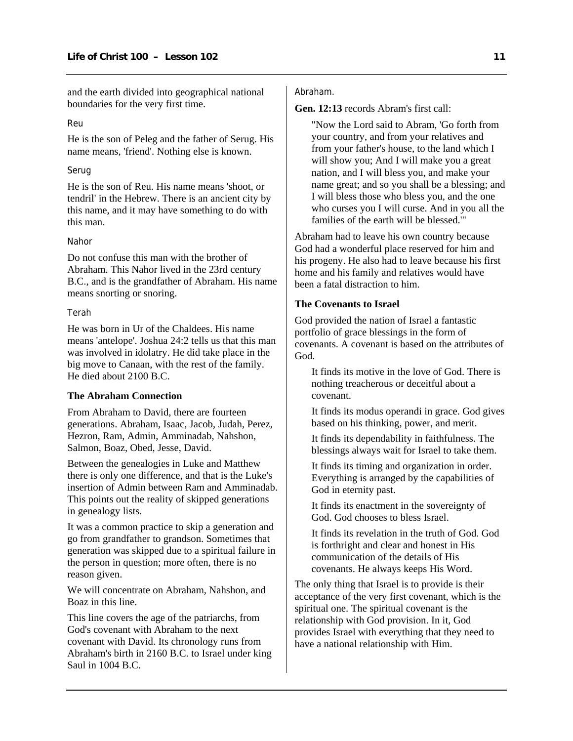<span id="page-12-0"></span>and the earth divided into geographical national boundaries for the very first time.

# Reu

He is the son of Peleg and the father of Serug. His name means, 'friend'. Nothing else is known.

## Serug

He is the son of Reu. His name means 'shoot, or tendril' in the Hebrew. There is an ancient city by this name, and it may have something to do with this man.

#### Nahor

Do not confuse this man with the brother of Abraham. This Nahor lived in the 23rd century B.C., and is the grandfather of Abraham. His name means snorting or snoring.

#### Terah

He was born in Ur of the Chaldees. His name means 'antelope'. Joshua 24:2 tells us that this man was involved in idolatry. He did take place in the big move to Canaan, with the rest of the family. He died about 2100 B.C.

# **The Abraham Connection**

From Abraham to David, there are fourteen generations. Abraham, Isaac, Jacob, Judah, Perez, Hezron, Ram, Admin, Amminadab, Nahshon, Salmon, Boaz, Obed, Jesse, David.

Between the genealogies in Luke and Matthew there is only one difference, and that is the Luke's insertion of Admin between Ram and Amminadab. This points out the reality of skipped generations in genealogy lists.

It was a common practice to skip a generation and go from grandfather to grandson. Sometimes that generation was skipped due to a spiritual failure in the person in question; more often, there is no reason given.

We will concentrate on Abraham, Nahshon, and Boaz in this line.

This line covers the age of the patriarchs, from God's covenant with Abraham to the next covenant with David. Its chronology runs from Abraham's birth in 2160 B.C. to Israel under king Saul in 1004 B.C.

## Abraham.

**Gen. 12:13** records Abram's first call:

"Now the Lord said to Abram, 'Go forth from your country, and from your relatives and from your father's house, to the land which I will show you; And I will make you a great nation, and I will bless you, and make your name great; and so you shall be a blessing; and I will bless those who bless you, and the one who curses you I will curse. And in you all the families of the earth will be blessed.'"

Abraham had to leave his own country because God had a wonderful place reserved for him and his progeny. He also had to leave because his first home and his family and relatives would have been a fatal distraction to him.

#### **The Covenants to Israel**

God provided the nation of Israel a fantastic portfolio of grace blessings in the form of covenants. A covenant is based on the attributes of God.

It finds its motive in the love of God. There is nothing treacherous or deceitful about a covenant.

It finds its modus operandi in grace. God gives based on his thinking, power, and merit.

It finds its dependability in faithfulness. The blessings always wait for Israel to take them.

It finds its timing and organization in order. Everything is arranged by the capabilities of God in eternity past.

It finds its enactment in the sovereignty of God. God chooses to bless Israel.

It finds its revelation in the truth of God. God is forthright and clear and honest in His communication of the details of His covenants. He always keeps His Word.

The only thing that Israel is to provide is their acceptance of the very first covenant, which is the spiritual one. The spiritual covenant is the relationship with God provision. In it, God provides Israel with everything that they need to have a national relationship with Him.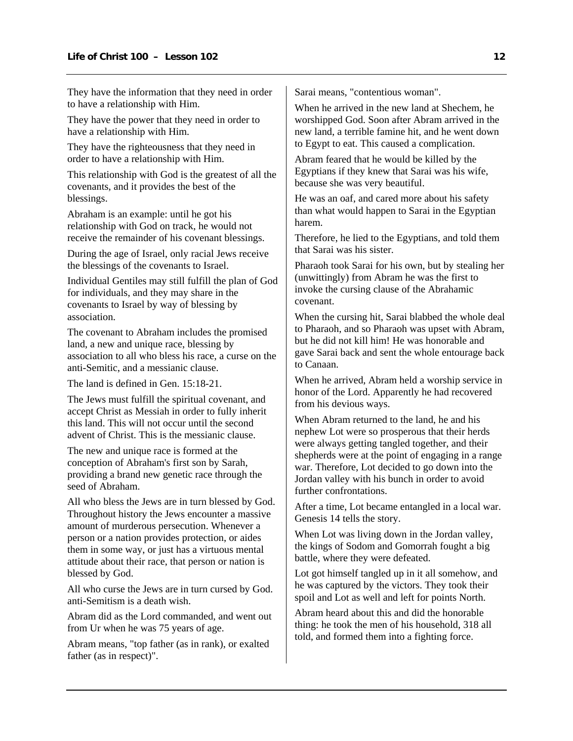They have the information that they need in order to have a relationship with Him.

They have the power that they need in order to have a relationship with Him.

They have the righteousness that they need in order to have a relationship with Him.

This relationship with God is the greatest of all the covenants, and it provides the best of the blessings.

Abraham is an example: until he got his relationship with God on track, he would not receive the remainder of his covenant blessings.

During the age of Israel, only racial Jews receive the blessings of the covenants to Israel.

Individual Gentiles may still fulfill the plan of God for individuals, and they may share in the covenants to Israel by way of blessing by association.

The covenant to Abraham includes the promised land, a new and unique race, blessing by association to all who bless his race, a curse on the anti-Semitic, and a messianic clause.

The land is defined in Gen. 15:18-21.

The Jews must fulfill the spiritual covenant, and accept Christ as Messiah in order to fully inherit this land. This will not occur until the second advent of Christ. This is the messianic clause.

The new and unique race is formed at the conception of Abraham's first son by Sarah, providing a brand new genetic race through the seed of Abraham.

All who bless the Jews are in turn blessed by God. Throughout history the Jews encounter a massive amount of murderous persecution. Whenever a person or a nation provides protection, or aides them in some way, or just has a virtuous mental attitude about their race, that person or nation is blessed by God.

All who curse the Jews are in turn cursed by God. anti-Semitism is a death wish.

Abram did as the Lord commanded, and went out from Ur when he was 75 years of age.

Abram means, "top father (as in rank), or exalted father (as in respect)".

Sarai means, "contentious woman".

When he arrived in the new land at Shechem, he worshipped God. Soon after Abram arrived in the new land, a terrible famine hit, and he went down to Egypt to eat. This caused a complication.

Abram feared that he would be killed by the Egyptians if they knew that Sarai was his wife, because she was very beautiful.

He was an oaf, and cared more about his safety than what would happen to Sarai in the Egyptian harem.

Therefore, he lied to the Egyptians, and told them that Sarai was his sister.

Pharaoh took Sarai for his own, but by stealing her (unwittingly) from Abram he was the first to invoke the cursing clause of the Abrahamic covenant.

When the cursing hit, Sarai blabbed the whole deal to Pharaoh, and so Pharaoh was upset with Abram, but he did not kill him! He was honorable and gave Sarai back and sent the whole entourage back to Canaan.

When he arrived, Abram held a worship service in honor of the Lord. Apparently he had recovered from his devious ways.

When Abram returned to the land, he and his nephew Lot were so prosperous that their herds were always getting tangled together, and their shepherds were at the point of engaging in a range war. Therefore, Lot decided to go down into the Jordan valley with his bunch in order to avoid further confrontations.

After a time, Lot became entangled in a local war. Genesis 14 tells the story.

When Lot was living down in the Jordan valley, the kings of Sodom and Gomorrah fought a big battle, where they were defeated.

Lot got himself tangled up in it all somehow, and he was captured by the victors. They took their spoil and Lot as well and left for points North.

Abram heard about this and did the honorable thing: he took the men of his household, 318 all told, and formed them into a fighting force.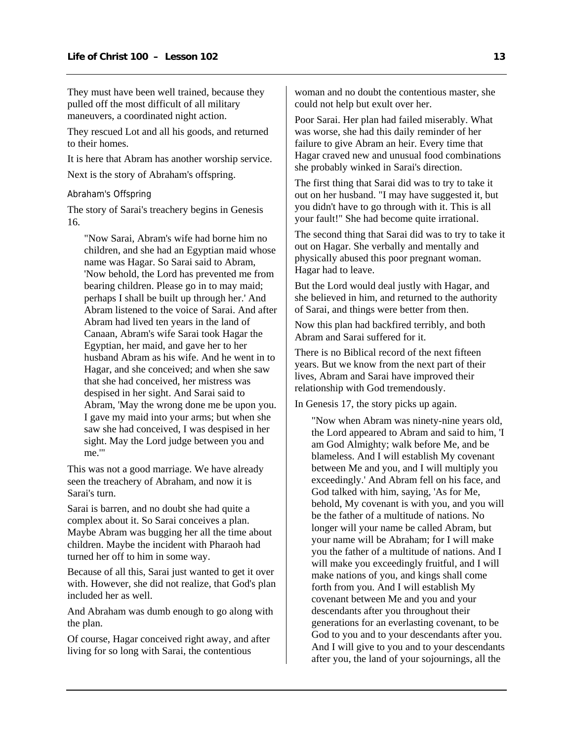They must have been well trained, because they pulled off the most difficult of all military maneuvers, a coordinated night action.

They rescued Lot and all his goods, and returned to their homes.

It is here that Abram has another worship service.

Next is the story of Abraham's offspring.

Abraham's Offspring

The story of Sarai's treachery begins in Genesis 16.

"Now Sarai, Abram's wife had borne him no children, and she had an Egyptian maid whose name was Hagar. So Sarai said to Abram, 'Now behold, the Lord has prevented me from bearing children. Please go in to may maid; perhaps I shall be built up through her.' And Abram listened to the voice of Sarai. And after Abram had lived ten years in the land of Canaan, Abram's wife Sarai took Hagar the Egyptian, her maid, and gave her to her husband Abram as his wife. And he went in to Hagar, and she conceived; and when she saw that she had conceived, her mistress was despised in her sight. And Sarai said to Abram, 'May the wrong done me be upon you. I gave my maid into your arms; but when she saw she had conceived, I was despised in her sight. May the Lord judge between you and me.'"

This was not a good marriage. We have already seen the treachery of Abraham, and now it is Sarai's turn.

Sarai is barren, and no doubt she had quite a complex about it. So Sarai conceives a plan. Maybe Abram was bugging her all the time about children. Maybe the incident with Pharaoh had turned her off to him in some way.

Because of all this, Sarai just wanted to get it over with. However, she did not realize, that God's plan included her as well.

And Abraham was dumb enough to go along with the plan.

Of course, Hagar conceived right away, and after living for so long with Sarai, the contentious

woman and no doubt the contentious master, she could not help but exult over her.

Poor Sarai. Her plan had failed miserably. What was worse, she had this daily reminder of her failure to give Abram an heir. Every time that Hagar craved new and unusual food combinations she probably winked in Sarai's direction.

The first thing that Sarai did was to try to take it out on her husband. "I may have suggested it, but you didn't have to go through with it. This is all your fault!" She had become quite irrational.

The second thing that Sarai did was to try to take it out on Hagar. She verbally and mentally and physically abused this poor pregnant woman. Hagar had to leave.

But the Lord would deal justly with Hagar, and she believed in him, and returned to the authority of Sarai, and things were better from then.

Now this plan had backfired terribly, and both Abram and Sarai suffered for it.

There is no Biblical record of the next fifteen years. But we know from the next part of their lives, Abram and Sarai have improved their relationship with God tremendously.

In Genesis 17, the story picks up again.

"Now when Abram was ninety-nine years old, the Lord appeared to Abram and said to him, 'I am God Almighty; walk before Me, and be blameless. And I will establish My covenant between Me and you, and I will multiply you exceedingly.' And Abram fell on his face, and God talked with him, saying, 'As for Me, behold, My covenant is with you, and you will be the father of a multitude of nations. No longer will your name be called Abram, but your name will be Abraham; for I will make you the father of a multitude of nations. And I will make you exceedingly fruitful, and I will make nations of you, and kings shall come forth from you. And I will establish My covenant between Me and you and your descendants after you throughout their generations for an everlasting covenant, to be God to you and to your descendants after you. And I will give to you and to your descendants after you, the land of your sojournings, all the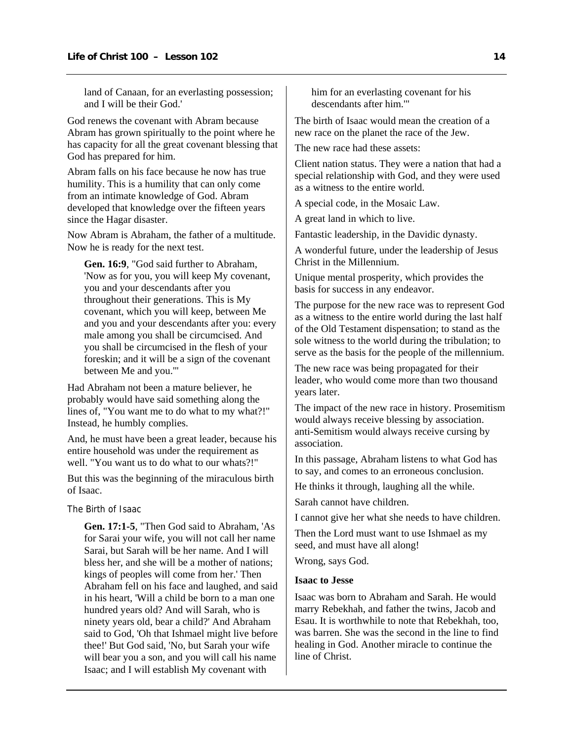<span id="page-15-0"></span>land of Canaan, for an everlasting possession; and I will be their God.'

God renews the covenant with Abram because Abram has grown spiritually to the point where he has capacity for all the great covenant blessing that God has prepared for him.

Abram falls on his face because he now has true humility. This is a humility that can only come from an intimate knowledge of God. Abram developed that knowledge over the fifteen years since the Hagar disaster.

Now Abram is Abraham, the father of a multitude. Now he is ready for the next test.

**Gen. 16:9**, "God said further to Abraham, 'Now as for you, you will keep My covenant, you and your descendants after you throughout their generations. This is My covenant, which you will keep, between Me and you and your descendants after you: every male among you shall be circumcised. And you shall be circumcised in the flesh of your foreskin; and it will be a sign of the covenant between Me and you.'"

Had Abraham not been a mature believer, he probably would have said something along the lines of, "You want me to do what to my what?!" Instead, he humbly complies.

And, he must have been a great leader, because his entire household was under the requirement as well. "You want us to do what to our whats?!"

But this was the beginning of the miraculous birth of Isaac.

The Birth of Isaac

**Gen. 17:1-5**, "Then God said to Abraham, 'As for Sarai your wife, you will not call her name Sarai, but Sarah will be her name. And I will bless her, and she will be a mother of nations; kings of peoples will come from her.' Then Abraham fell on his face and laughed, and said in his heart, 'Will a child be born to a man one hundred years old? And will Sarah, who is ninety years old, bear a child?' And Abraham said to God, 'Oh that Ishmael might live before thee!' But God said, 'No, but Sarah your wife will bear you a son, and you will call his name Isaac; and I will establish My covenant with

him for an everlasting covenant for his descendants after him.'"

The birth of Isaac would mean the creation of a new race on the planet the race of the Jew.

The new race had these assets:

Client nation status. They were a nation that had a special relationship with God, and they were used as a witness to the entire world.

A special code, in the Mosaic Law.

A great land in which to live.

Fantastic leadership, in the Davidic dynasty.

A wonderful future, under the leadership of Jesus Christ in the Millennium.

Unique mental prosperity, which provides the basis for success in any endeavor.

The purpose for the new race was to represent God as a witness to the entire world during the last half of the Old Testament dispensation; to stand as the sole witness to the world during the tribulation; to serve as the basis for the people of the millennium.

The new race was being propagated for their leader, who would come more than two thousand years later.

The impact of the new race in history. Prosemitism would always receive blessing by association. anti-Semitism would always receive cursing by association.

In this passage, Abraham listens to what God has to say, and comes to an erroneous conclusion.

He thinks it through, laughing all the while.

Sarah cannot have children.

I cannot give her what she needs to have children.

Then the Lord must want to use Ishmael as my seed, and must have all along!

Wrong, says God.

## **Isaac to Jesse**

Isaac was born to Abraham and Sarah. He would marry Rebekhah, and father the twins, Jacob and Esau. It is worthwhile to note that Rebekhah, too, was barren. She was the second in the line to find healing in God. Another miracle to continue the line of Christ.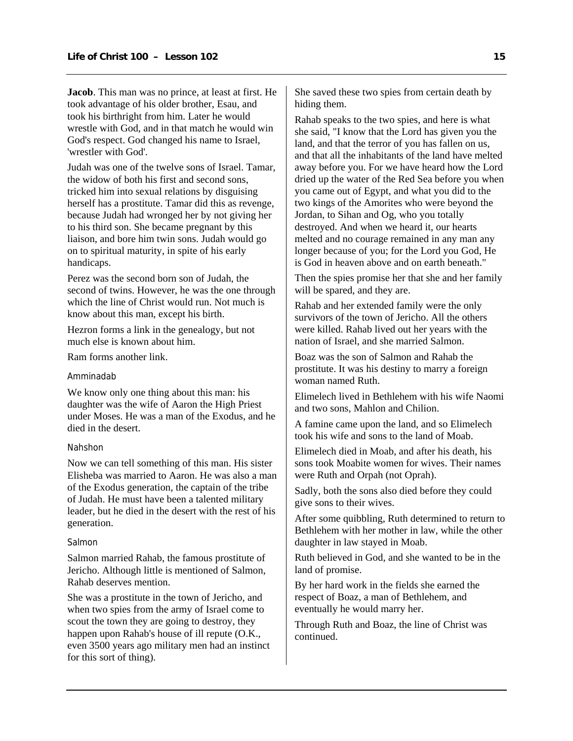**Jacob**. This man was no prince, at least at first. He took advantage of his older brother, Esau, and took his birthright from him. Later he would wrestle with God, and in that match he would win God's respect. God changed his name to Israel, 'wrestler with God'.

Judah was one of the twelve sons of Israel. Tamar, the widow of both his first and second sons, tricked him into sexual relations by disguising herself has a prostitute. Tamar did this as revenge, because Judah had wronged her by not giving her to his third son. She became pregnant by this liaison, and bore him twin sons. Judah would go on to spiritual maturity, in spite of his early handicaps.

Perez was the second born son of Judah, the second of twins. However, he was the one through which the line of Christ would run. Not much is know about this man, except his birth.

Hezron forms a link in the genealogy, but not much else is known about him.

Ram forms another link.

## Amminadab

We know only one thing about this man: his daughter was the wife of Aaron the High Priest under Moses. He was a man of the Exodus, and he died in the desert.

#### Nahshon

Now we can tell something of this man. His sister Elisheba was married to Aaron. He was also a man of the Exodus generation, the captain of the tribe of Judah. He must have been a talented military leader, but he died in the desert with the rest of his generation.

#### Salmon

Salmon married Rahab, the famous prostitute of Jericho. Although little is mentioned of Salmon, Rahab deserves mention.

She was a prostitute in the town of Jericho, and when two spies from the army of Israel come to scout the town they are going to destroy, they happen upon Rahab's house of ill repute (O.K., even 3500 years ago military men had an instinct for this sort of thing).

She saved these two spies from certain death by hiding them.

Rahab speaks to the two spies, and here is what she said, "I know that the Lord has given you the land, and that the terror of you has fallen on us, and that all the inhabitants of the land have melted away before you. For we have heard how the Lord dried up the water of the Red Sea before you when you came out of Egypt, and what you did to the two kings of the Amorites who were beyond the Jordan, to Sihan and Og, who you totally destroyed. And when we heard it, our hearts melted and no courage remained in any man any longer because of you; for the Lord you God, He is God in heaven above and on earth beneath."

Then the spies promise her that she and her family will be spared, and they are.

Rahab and her extended family were the only survivors of the town of Jericho. All the others were killed. Rahab lived out her years with the nation of Israel, and she married Salmon.

Boaz was the son of Salmon and Rahab the prostitute. It was his destiny to marry a foreign woman named Ruth.

Elimelech lived in Bethlehem with his wife Naomi and two sons, Mahlon and Chilion.

A famine came upon the land, and so Elimelech took his wife and sons to the land of Moab.

Elimelech died in Moab, and after his death, his sons took Moabite women for wives. Their names were Ruth and Orpah (not Oprah).

Sadly, both the sons also died before they could give sons to their wives.

After some quibbling, Ruth determined to return to Bethlehem with her mother in law, while the other daughter in law stayed in Moab.

Ruth believed in God, and she wanted to be in the land of promise.

By her hard work in the fields she earned the respect of Boaz, a man of Bethlehem, and eventually he would marry her.

Through Ruth and Boaz, the line of Christ was continued.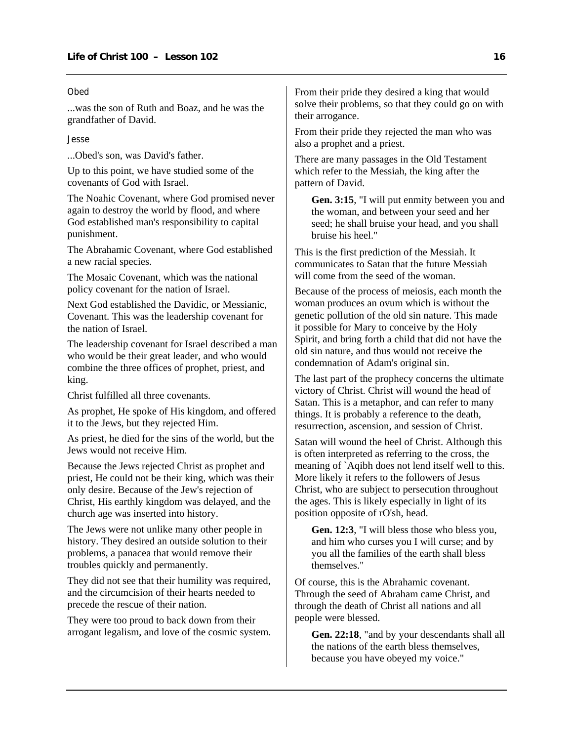#### Obed

...was the son of Ruth and Boaz, and he was the grandfather of David.

Jesse

...Obed's son, was David's father.

Up to this point, we have studied some of the covenants of God with Israel.

The Noahic Covenant, where God promised never again to destroy the world by flood, and where God established man's responsibility to capital punishment.

The Abrahamic Covenant, where God established a new racial species.

The Mosaic Covenant, which was the national policy covenant for the nation of Israel.

Next God established the Davidic, or Messianic, Covenant. This was the leadership covenant for the nation of Israel.

The leadership covenant for Israel described a man who would be their great leader, and who would combine the three offices of prophet, priest, and king.

Christ fulfilled all three covenants.

As prophet, He spoke of His kingdom, and offered it to the Jews, but they rejected Him.

As priest, he died for the sins of the world, but the Jews would not receive Him.

Because the Jews rejected Christ as prophet and priest, He could not be their king, which was their only desire. Because of the Jew's rejection of Christ, His earthly kingdom was delayed, and the church age was inserted into history.

The Jews were not unlike many other people in history. They desired an outside solution to their problems, a panacea that would remove their troubles quickly and permanently.

They did not see that their humility was required, and the circumcision of their hearts needed to precede the rescue of their nation.

They were too proud to back down from their arrogant legalism, and love of the cosmic system. From their pride they desired a king that would solve their problems, so that they could go on with their arrogance.

From their pride they rejected the man who was also a prophet and a priest.

There are many passages in the Old Testament which refer to the Messiah, the king after the pattern of David.

**Gen. 3:15**, "I will put enmity between you and the woman, and between your seed and her seed; he shall bruise your head, and you shall bruise his heel."

This is the first prediction of the Messiah. It communicates to Satan that the future Messiah will come from the seed of the woman.

Because of the process of meiosis, each month the woman produces an ovum which is without the genetic pollution of the old sin nature. This made it possible for Mary to conceive by the Holy Spirit, and bring forth a child that did not have the old sin nature, and thus would not receive the condemnation of Adam's original sin.

The last part of the prophecy concerns the ultimate victory of Christ. Christ will wound the head of Satan. This is a metaphor, and can refer to many things. It is probably a reference to the death, resurrection, ascension, and session of Christ.

Satan will wound the heel of Christ. Although this is often interpreted as referring to the cross, the meaning of `Aqibh does not lend itself well to this. More likely it refers to the followers of Jesus Christ, who are subject to persecution throughout the ages. This is likely especially in light of its position opposite of rO'sh, head.

**Gen. 12:3**, "I will bless those who bless you, and him who curses you I will curse; and by you all the families of the earth shall bless themselves."

Of course, this is the Abrahamic covenant. Through the seed of Abraham came Christ, and through the death of Christ all nations and all people were blessed.

**Gen. 22:18**, "and by your descendants shall all the nations of the earth bless themselves, because you have obeyed my voice."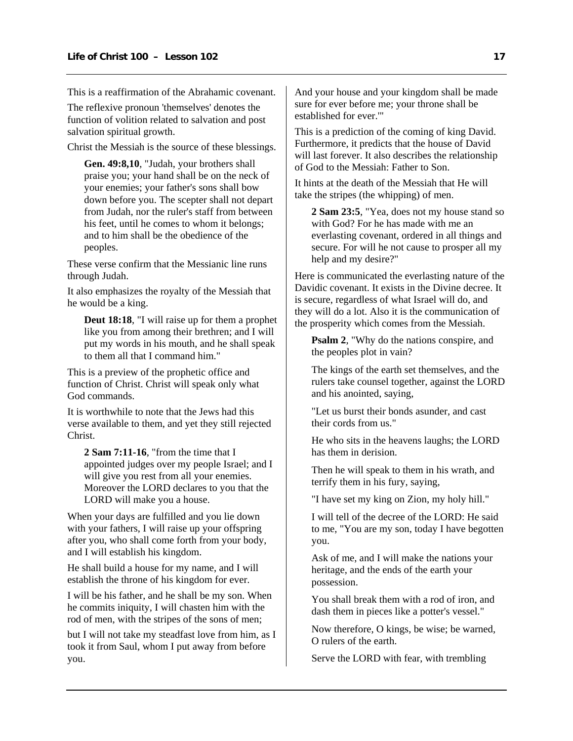This is a reaffirmation of the Abrahamic covenant.

The reflexive pronoun 'themselves' denotes the function of volition related to salvation and post salvation spiritual growth.

Christ the Messiah is the source of these blessings.

**Gen. 49:8,10**, "Judah, your brothers shall praise you; your hand shall be on the neck of your enemies; your father's sons shall bow down before you. The scepter shall not depart from Judah, nor the ruler's staff from between his feet, until he comes to whom it belongs; and to him shall be the obedience of the peoples.

These verse confirm that the Messianic line runs through Judah.

It also emphasizes the royalty of the Messiah that he would be a king.

**Deut 18:18**, "I will raise up for them a prophet like you from among their brethren; and I will put my words in his mouth, and he shall speak to them all that I command him."

This is a preview of the prophetic office and function of Christ. Christ will speak only what God commands.

It is worthwhile to note that the Jews had this verse available to them, and yet they still rejected Christ.

**2 Sam 7:11-16**, "from the time that I appointed judges over my people Israel; and I will give you rest from all your enemies. Moreover the LORD declares to you that the LORD will make you a house.

When your days are fulfilled and you lie down with your fathers, I will raise up your offspring after you, who shall come forth from your body, and I will establish his kingdom.

He shall build a house for my name, and I will establish the throne of his kingdom for ever.

I will be his father, and he shall be my son. When he commits iniquity, I will chasten him with the rod of men, with the stripes of the sons of men;

but I will not take my steadfast love from him, as I took it from Saul, whom I put away from before you.

And your house and your kingdom shall be made sure for ever before me; your throne shall be established for ever.'"

This is a prediction of the coming of king David. Furthermore, it predicts that the house of David will last forever. It also describes the relationship of God to the Messiah: Father to Son.

It hints at the death of the Messiah that He will take the stripes (the whipping) of men.

**2 Sam 23:5**, "Yea, does not my house stand so with God? For he has made with me an everlasting covenant, ordered in all things and secure. For will he not cause to prosper all my help and my desire?"

Here is communicated the everlasting nature of the Davidic covenant. It exists in the Divine decree. It is secure, regardless of what Israel will do, and they will do a lot. Also it is the communication of the prosperity which comes from the Messiah.

**Psalm 2**, "Why do the nations conspire, and the peoples plot in vain?

The kings of the earth set themselves, and the rulers take counsel together, against the LORD and his anointed, saying,

"Let us burst their bonds asunder, and cast their cords from us."

He who sits in the heavens laughs; the LORD has them in derision.

Then he will speak to them in his wrath, and terrify them in his fury, saying,

"I have set my king on Zion, my holy hill."

I will tell of the decree of the LORD: He said to me, "You are my son, today I have begotten you.

Ask of me, and I will make the nations your heritage, and the ends of the earth your possession.

You shall break them with a rod of iron, and dash them in pieces like a potter's vessel."

Now therefore, O kings, be wise; be warned, O rulers of the earth.

Serve the LORD with fear, with trembling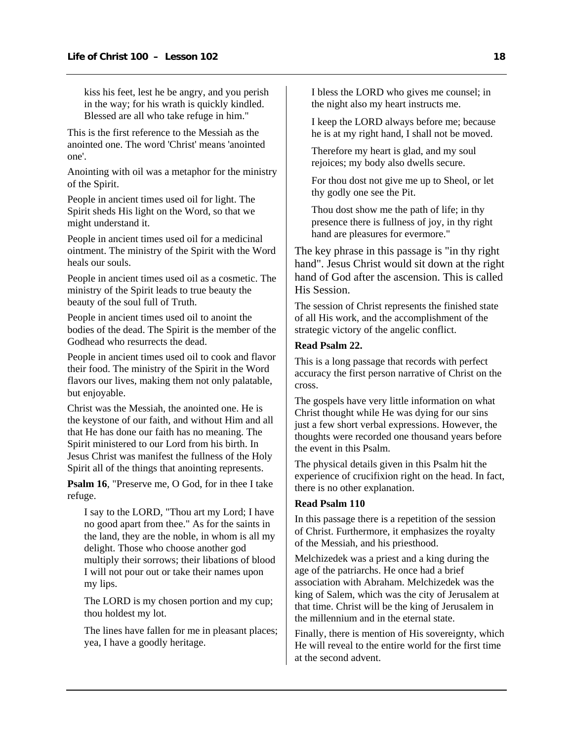kiss his feet, lest he be angry, and you perish in the way; for his wrath is quickly kindled. Blessed are all who take refuge in him."

This is the first reference to the Messiah as the anointed one. The word 'Christ' means 'anointed one'.

Anointing with oil was a metaphor for the ministry of the Spirit.

People in ancient times used oil for light. The Spirit sheds His light on the Word, so that we might understand it.

People in ancient times used oil for a medicinal ointment. The ministry of the Spirit with the Word heals our souls.

People in ancient times used oil as a cosmetic. The ministry of the Spirit leads to true beauty the beauty of the soul full of Truth.

People in ancient times used oil to anoint the bodies of the dead. The Spirit is the member of the Godhead who resurrects the dead.

People in ancient times used oil to cook and flavor their food. The ministry of the Spirit in the Word flavors our lives, making them not only palatable, but enjoyable.

Christ was the Messiah, the anointed one. He is the keystone of our faith, and without Him and all that He has done our faith has no meaning. The Spirit ministered to our Lord from his birth. In Jesus Christ was manifest the fullness of the Holy Spirit all of the things that anointing represents.

**Psalm 16**, "Preserve me, O God, for in thee I take refuge.

I say to the LORD, "Thou art my Lord; I have no good apart from thee." As for the saints in the land, they are the noble, in whom is all my delight. Those who choose another god multiply their sorrows; their libations of blood I will not pour out or take their names upon my lips.

The LORD is my chosen portion and my cup; thou holdest my lot.

The lines have fallen for me in pleasant places; yea, I have a goodly heritage.

I bless the LORD who gives me counsel; in the night also my heart instructs me.

I keep the LORD always before me; because he is at my right hand, I shall not be moved.

Therefore my heart is glad, and my soul rejoices; my body also dwells secure.

For thou dost not give me up to Sheol, or let thy godly one see the Pit.

Thou dost show me the path of life; in thy presence there is fullness of joy, in thy right hand are pleasures for evermore."

The key phrase in this passage is "in thy right hand". Jesus Christ would sit down at the right hand of God after the ascension. This is called His Session.

The session of Christ represents the finished state of all His work, and the accomplishment of the strategic victory of the angelic conflict.

## **Read Psalm 22.**

This is a long passage that records with perfect accuracy the first person narrative of Christ on the cross.

The gospels have very little information on what Christ thought while He was dying for our sins just a few short verbal expressions. However, the thoughts were recorded one thousand years before the event in this Psalm.

The physical details given in this Psalm hit the experience of crucifixion right on the head. In fact, there is no other explanation.

#### **Read Psalm 110**

In this passage there is a repetition of the session of Christ. Furthermore, it emphasizes the royalty of the Messiah, and his priesthood.

Melchizedek was a priest and a king during the age of the patriarchs. He once had a brief association with Abraham. Melchizedek was the king of Salem, which was the city of Jerusalem at that time. Christ will be the king of Jerusalem in the millennium and in the eternal state.

Finally, there is mention of His sovereignty, which He will reveal to the entire world for the first time at the second advent.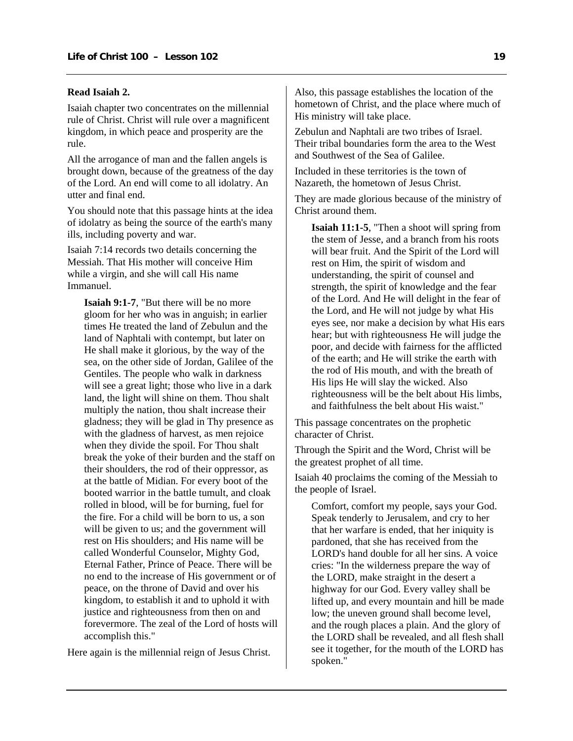## **Read Isaiah 2.**

Isaiah chapter two concentrates on the millennial rule of Christ. Christ will rule over a magnificent kingdom, in which peace and prosperity are the rule.

All the arrogance of man and the fallen angels is brought down, because of the greatness of the day of the Lord. An end will come to all idolatry. An utter and final end.

You should note that this passage hints at the idea of idolatry as being the source of the earth's many ills, including poverty and war.

Isaiah 7:14 records two details concerning the Messiah. That His mother will conceive Him while a virgin, and she will call His name Immanuel.

**Isaiah 9:1-7**, "But there will be no more gloom for her who was in anguish; in earlier times He treated the land of Zebulun and the land of Naphtali with contempt, but later on He shall make it glorious, by the way of the sea, on the other side of Jordan, Galilee of the Gentiles. The people who walk in darkness will see a great light; those who live in a dark land, the light will shine on them. Thou shalt multiply the nation, thou shalt increase their gladness; they will be glad in Thy presence as with the gladness of harvest, as men rejoice when they divide the spoil. For Thou shalt break the yoke of their burden and the staff on their shoulders, the rod of their oppressor, as at the battle of Midian. For every boot of the booted warrior in the battle tumult, and cloak rolled in blood, will be for burning, fuel for the fire. For a child will be born to us, a son will be given to us; and the government will rest on His shoulders; and His name will be called Wonderful Counselor, Mighty God, Eternal Father, Prince of Peace. There will be no end to the increase of His government or of peace, on the throne of David and over his kingdom, to establish it and to uphold it with justice and righteousness from then on and forevermore. The zeal of the Lord of hosts will accomplish this."

Here again is the millennial reign of Jesus Christ.

Also, this passage establishes the location of the hometown of Christ, and the place where much of His ministry will take place.

Zebulun and Naphtali are two tribes of Israel. Their tribal boundaries form the area to the West and Southwest of the Sea of Galilee.

Included in these territories is the town of Nazareth, the hometown of Jesus Christ.

They are made glorious because of the ministry of Christ around them.

**Isaiah 11:1-5**, "Then a shoot will spring from the stem of Jesse, and a branch from his roots will bear fruit. And the Spirit of the Lord will rest on Him, the spirit of wisdom and understanding, the spirit of counsel and strength, the spirit of knowledge and the fear of the Lord. And He will delight in the fear of the Lord, and He will not judge by what His eyes see, nor make a decision by what His ears hear; but with righteousness He will judge the poor, and decide with fairness for the afflicted of the earth; and He will strike the earth with the rod of His mouth, and with the breath of His lips He will slay the wicked. Also righteousness will be the belt about His limbs, and faithfulness the belt about His waist."

This passage concentrates on the prophetic character of Christ.

Through the Spirit and the Word, Christ will be the greatest prophet of all time.

Isaiah 40 proclaims the coming of the Messiah to the people of Israel.

Comfort, comfort my people, says your God. Speak tenderly to Jerusalem, and cry to her that her warfare is ended, that her iniquity is pardoned, that she has received from the LORD's hand double for all her sins. A voice cries: "In the wilderness prepare the way of the LORD, make straight in the desert a highway for our God. Every valley shall be lifted up, and every mountain and hill be made low; the uneven ground shall become level, and the rough places a plain. And the glory of the LORD shall be revealed, and all flesh shall see it together, for the mouth of the LORD has spoken."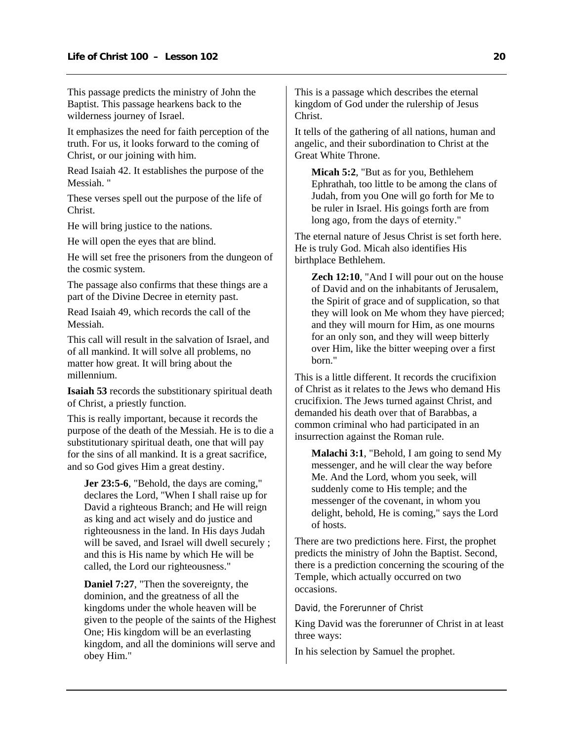This passage predicts the ministry of John the Baptist. This passage hearkens back to the wilderness journey of Israel.

It emphasizes the need for faith perception of the truth. For us, it looks forward to the coming of Christ, or our joining with him.

Read Isaiah 42. It establishes the purpose of the Messiah. "

These verses spell out the purpose of the life of Christ.

He will bring justice to the nations.

He will open the eyes that are blind.

He will set free the prisoners from the dungeon of the cosmic system.

The passage also confirms that these things are a part of the Divine Decree in eternity past.

Read Isaiah 49, which records the call of the Messiah.

This call will result in the salvation of Israel, and of all mankind. It will solve all problems, no matter how great. It will bring about the millennium.

**Isaiah 53** records the substitionary spiritual death of Christ, a priestly function.

This is really important, because it records the purpose of the death of the Messiah. He is to die a substitutionary spiritual death, one that will pay for the sins of all mankind. It is a great sacrifice, and so God gives Him a great destiny.

**Jer 23:5-6**, "Behold, the days are coming," declares the Lord, "When I shall raise up for David a righteous Branch; and He will reign as king and act wisely and do justice and righteousness in the land. In His days Judah will be saved, and Israel will dwell securely ; and this is His name by which He will be called, the Lord our righteousness."

**Daniel 7:27**, "Then the sovereignty, the dominion, and the greatness of all the kingdoms under the whole heaven will be given to the people of the saints of the Highest One; His kingdom will be an everlasting kingdom, and all the dominions will serve and obey Him."

This is a passage which describes the eternal kingdom of God under the rulership of Jesus Christ.

It tells of the gathering of all nations, human and angelic, and their subordination to Christ at the Great White Throne.

**Micah 5:2**, "But as for you, Bethlehem Ephrathah, too little to be among the clans of Judah, from you One will go forth for Me to be ruler in Israel. His goings forth are from long ago, from the days of eternity."

The eternal nature of Jesus Christ is set forth here. He is truly God. Micah also identifies His birthplace Bethlehem.

**Zech 12:10**, "And I will pour out on the house of David and on the inhabitants of Jerusalem, the Spirit of grace and of supplication, so that they will look on Me whom they have pierced; and they will mourn for Him, as one mourns for an only son, and they will weep bitterly over Him, like the bitter weeping over a first born."

This is a little different. It records the crucifixion of Christ as it relates to the Jews who demand His crucifixion. The Jews turned against Christ, and demanded his death over that of Barabbas, a common criminal who had participated in an insurrection against the Roman rule.

**Malachi 3:1**, "Behold, I am going to send My messenger, and he will clear the way before Me. And the Lord, whom you seek, will suddenly come to His temple; and the messenger of the covenant, in whom you delight, behold, He is coming," says the Lord of hosts.

There are two predictions here. First, the prophet predicts the ministry of John the Baptist. Second, there is a prediction concerning the scouring of the Temple, which actually occurred on two occasions.

David, the Forerunner of Christ

King David was the forerunner of Christ in at least three ways:

In his selection by Samuel the prophet.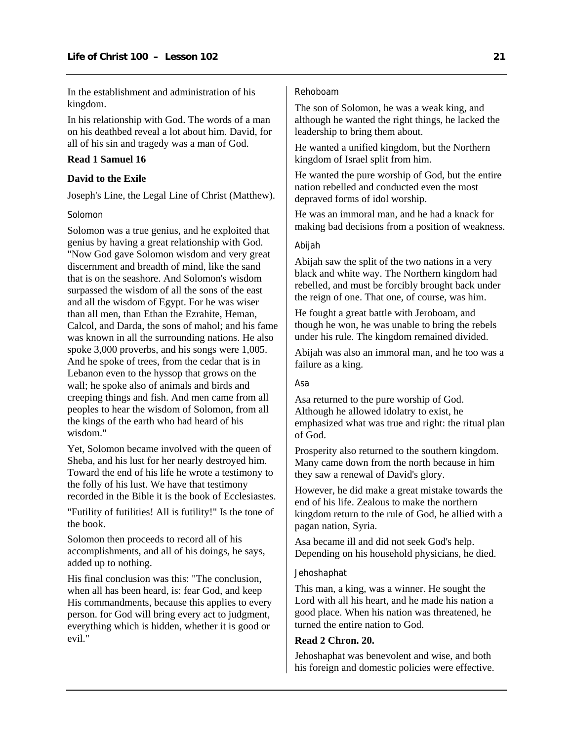<span id="page-22-0"></span>In the establishment and administration of his kingdom.

In his relationship with God. The words of a man on his deathbed reveal a lot about him. David, for all of his sin and tragedy was a man of God.

# **Read 1 Samuel 16**

#### **David to the Exile**

Joseph's Line, the Legal Line of Christ (Matthew).

#### Solomon

Solomon was a true genius, and he exploited that genius by having a great relationship with God. "Now God gave Solomon wisdom and very great discernment and breadth of mind, like the sand that is on the seashore. And Solomon's wisdom surpassed the wisdom of all the sons of the east and all the wisdom of Egypt. For he was wiser than all men, than Ethan the Ezrahite, Heman, Calcol, and Darda, the sons of mahol; and his fame was known in all the surrounding nations. He also spoke 3,000 proverbs, and his songs were 1,005. And he spoke of trees, from the cedar that is in Lebanon even to the hyssop that grows on the wall; he spoke also of animals and birds and creeping things and fish. And men came from all peoples to hear the wisdom of Solomon, from all the kings of the earth who had heard of his wisdom."

Yet, Solomon became involved with the queen of Sheba, and his lust for her nearly destroyed him. Toward the end of his life he wrote a testimony to the folly of his lust. We have that testimony recorded in the Bible it is the book of Ecclesiastes.

"Futility of futilities! All is futility!" Is the tone of the book.

Solomon then proceeds to record all of his accomplishments, and all of his doings, he says, added up to nothing.

His final conclusion was this: "The conclusion, when all has been heard, is: fear God, and keep His commandments, because this applies to every person. for God will bring every act to judgment, everything which is hidden, whether it is good or evil."

# Rehoboam

The son of Solomon, he was a weak king, and although he wanted the right things, he lacked the leadership to bring them about.

He wanted a unified kingdom, but the Northern kingdom of Israel split from him.

He wanted the pure worship of God, but the entire nation rebelled and conducted even the most depraved forms of idol worship.

He was an immoral man, and he had a knack for making bad decisions from a position of weakness.

# Abijah

Abijah saw the split of the two nations in a very black and white way. The Northern kingdom had rebelled, and must be forcibly brought back under the reign of one. That one, of course, was him.

He fought a great battle with Jeroboam, and though he won, he was unable to bring the rebels under his rule. The kingdom remained divided.

Abijah was also an immoral man, and he too was a failure as a king.

## Asa

Asa returned to the pure worship of God. Although he allowed idolatry to exist, he emphasized what was true and right: the ritual plan of God.

Prosperity also returned to the southern kingdom. Many came down from the north because in him they saw a renewal of David's glory.

However, he did make a great mistake towards the end of his life. Zealous to make the northern kingdom return to the rule of God, he allied with a pagan nation, Syria.

Asa became ill and did not seek God's help. Depending on his household physicians, he died.

#### **Jehoshaphat**

This man, a king, was a winner. He sought the Lord with all his heart, and he made his nation a good place. When his nation was threatened, he turned the entire nation to God.

## **Read 2 Chron. 20.**

Jehoshaphat was benevolent and wise, and both his foreign and domestic policies were effective.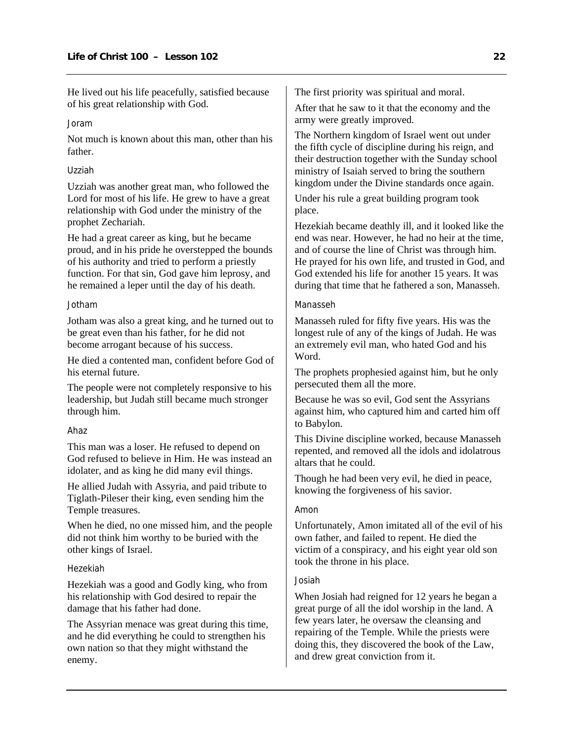He lived out his life peacefully, satisfied because of his great relationship with God.

#### Joram

Not much is known about this man, other than his father.

#### Uzziah

Uzziah was another great man, who followed the Lord for most of his life. He grew to have a great relationship with God under the ministry of the prophet Zechariah.

He had a great career as king, but he became proud, and in his pride he overstepped the bounds of his authority and tried to perform a priestly function. For that sin, God gave him leprosy, and he remained a leper until the day of his death.

#### Jotham

Jotham was also a great king, and he turned out to be great even than his father, for he did not become arrogant because of his success.

He died a contented man, confident before God of his eternal future.

The people were not completely responsive to his leadership, but Judah still became much stronger through him.

#### Ahaz

This man was a loser. He refused to depend on God refused to believe in Him. He was instead an idolater, and as king he did many evil things.

He allied Judah with Assyria, and paid tribute to Tiglath-Pileser their king, even sending him the Temple treasures.

When he died, no one missed him, and the people did not think him worthy to be buried with the other kings of Israel.

#### Hezekiah

Hezekiah was a good and Godly king, who from his relationship with God desired to repair the damage that his father had done.

The Assyrian menace was great during this time, and he did everything he could to strengthen his own nation so that they might withstand the enemy.

The first priority was spiritual and moral.

After that he saw to it that the economy and the army were greatly improved.

The Northern kingdom of Israel went out under the fifth cycle of discipline during his reign, and their destruction together with the Sunday school ministry of Isaiah served to bring the southern kingdom under the Divine standards once again.

Under his rule a great building program took place.

Hezekiah became deathly ill, and it looked like the end was near. However, he had no heir at the time, and of course the line of Christ was through him. He prayed for his own life, and trusted in God, and God extended his life for another 15 years. It was during that time that he fathered a son, Manasseh.

## Manasseh

Manasseh ruled for fifty five years. His was the longest rule of any of the kings of Judah. He was an extremely evil man, who hated God and his Word.

The prophets prophesied against him, but he only persecuted them all the more.

Because he was so evil, God sent the Assyrians against him, who captured him and carted him off to Babylon.

This Divine discipline worked, because Manasseh repented, and removed all the idols and idolatrous altars that he could.

Though he had been very evil, he died in peace, knowing the forgiveness of his savior.

# Amon

Unfortunately, Amon imitated all of the evil of his own father, and failed to repent. He died the victim of a conspiracy, and his eight year old son took the throne in his place.

#### Josiah

When Josiah had reigned for 12 years he began a great purge of all the idol worship in the land. A few years later, he oversaw the cleansing and repairing of the Temple. While the priests were doing this, they discovered the book of the Law, and drew great conviction from it.